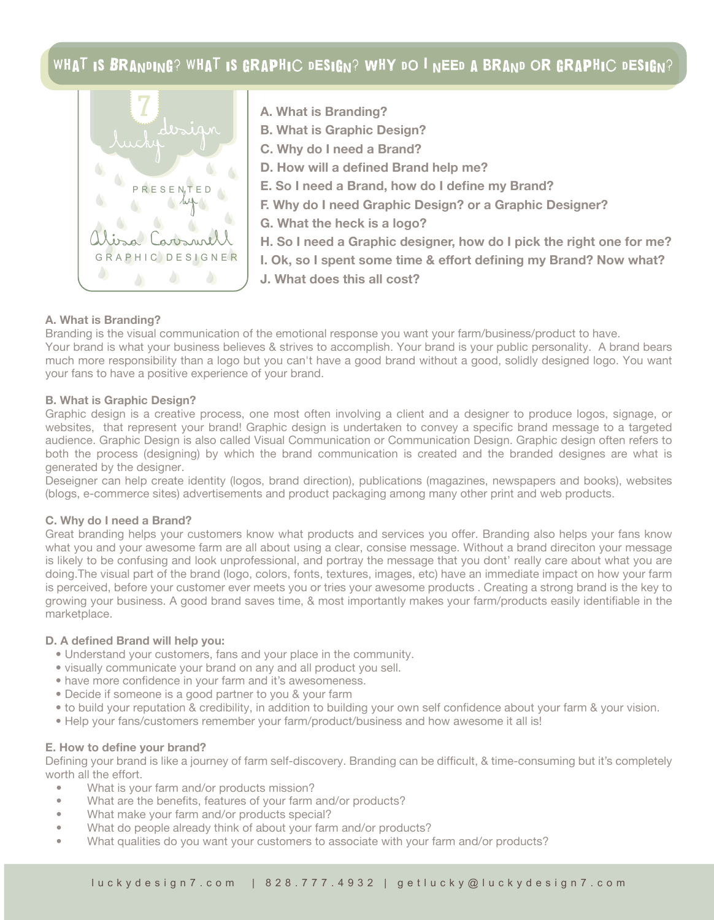# WHAT IS BRANDING? WHAT IS GRAPHIC DESIGN? WHY DO I NEED A BRAND OR GRAPHIC DESIGN?



- **A. What is Branding?**
- **B. What is Graphic Design?**
- **C. Why do I need a Brand?**
- **D. How will a defined Brand help me?**
- **E. So I need a Brand, how do I define my Brand?**
- **F. Why do I need Graphic Design? or a Graphic Designer?**
- **G. What the heck is a logo?**
- **H. So I need a Graphic designer, how do I pick the right one for me?**
- **I. Ok, so I spent some time & effort defining my Brand? Now what?**
	- **J. What does this all cost?**

## **A. What is Branding?**

Branding is the visual communication of the emotional response you want your farm/business/product to have. Your brand is what your business believes & strives to accomplish. Your brand is your public personality. A brand bears much more responsibility than a logo but you can't have a good brand without a good, solidly designed logo. You want your fans to have a positive experience of your brand.

### **B. What is Graphic Design?**

Graphic design is a creative process, one most often involving a client and a designer to produce logos, signage, or websites, that represent your brand! Graphic design is undertaken to convey a specific brand message to a targeted audience. Graphic Design is also called Visual Communication or Communication Design. Graphic design often refers to both the process (designing) by which the brand communication is created and the branded designes are what is generated by the designer.

Deseigner can help create identity (logos, brand direction), publications (magazines, newspapers and books), websites (blogs, e-commerce sites) advertisements and product packaging among many other print and web products.

#### **C. Why do I need a Brand?**

Great branding helps your customers know what products and services you offer. Branding also helps your fans know what you and your awesome farm are all about using a clear, consise message. Without a brand direciton your message is likely to be confusing and look unprofessional, and portray the message that you dont' really care about what you are doing.The visual part of the brand (logo, colors, fonts, textures, images, etc) have an immediate impact on how your farm is perceived, before your customer ever meets you or tries your awesome products . Creating a strong brand is the key to growing your business. A good brand saves time, & most importantly makes your farm/products easily identifiable in the marketplace.

### **D. A defined Brand will help you:**

- Understand your customers, fans and your place in the community.
- visually communicate your brand on any and all product you sell.
- have more confidence in your farm and it's awesomeness.
- Decide if someone is a good partner to you & your farm
- to build your reputation & credibility, in addition to building your own self confidence about your farm & your vision.
- Help your fans/customers remember your farm/product/business and how awesome it all is!

#### **E. How to define your brand?**

Defining your brand is like a journey of farm self-discovery. Branding can be difficult, & time-consuming but it's completely worth all the effort.

- What is your farm and/or products mission?
- What are the benefits, features of your farm and/or products?
- What make your farm and/or products special?
- What do people already think of about your farm and/or products?
- What qualities do you want your customers to associate with your farm and/or products?